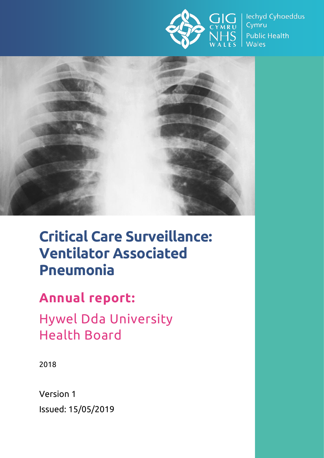

lechyd Cyhoeddus Cymru **Public Health Wales** 



# **Critical Care Surveillance: Ventilator Associated Pneumonia**

## **Annual report:**

Hywel Dda University Health Board

2018

Version 1 Issued: 15/05/2019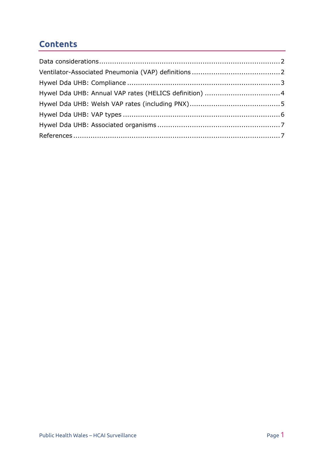#### **Contents**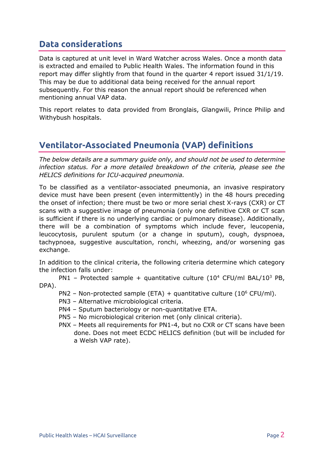#### <span id="page-2-0"></span>**Data considerations**

Data is captured at unit level in Ward Watcher across Wales. Once a month data is extracted and emailed to Public Health Wales. The information found in this report may differ slightly from that found in the quarter 4 report issued 31/1/19. This may be due to additional data being received for the annual report subsequently. For this reason the annual report should be referenced when mentioning annual VAP data.

This report relates to data provided from Bronglais, Glangwili, Prince Philip and Withybush hospitals.

#### <span id="page-2-1"></span>**Ventilator-Associated Pneumonia (VAP) definitions**

*The below details are a summary guide only, and should not be used to determine infection status. For a more detailed breakdown of the criteria, please see the HELICS definitions for ICU-acquired pneumonia.*

To be classified as a ventilator-associated pneumonia, an invasive respiratory device must have been present (even intermittently) in the 48 hours preceding the onset of infection; there must be two or more serial chest X-rays (CXR) or CT scans with a suggestive image of pneumonia (only one definitive CXR or CT scan is sufficient if there is no underlying cardiac or pulmonary disease). Additionally, there will be a combination of symptoms which include fever, leucopenia, leucocytosis, purulent sputum (or a change in sputum), cough, dyspnoea, tachypnoea, suggestive auscultation, ronchi, wheezing, and/or worsening gas exchange.

In addition to the clinical criteria, the following criteria determine which category the infection falls under:

PN1 – Protected sample + quantitative culture  $(10^4 \text{ CFU/ml BAL}/10^3 \text{ PB}$ , DPA).

- PN2 Non-protected sample (ETA) + quantitative culture (10 $^6$  CFU/ml).
- PN3 Alternative microbiological criteria.
- PN4 Sputum bacteriology or non-quantitative ETA.
- PN5 No microbiological criterion met (only clinical criteria).
- PNX Meets all requirements for PN1-4, but no CXR or CT scans have been done. Does not meet ECDC HELICS definition (but will be included for a Welsh VAP rate).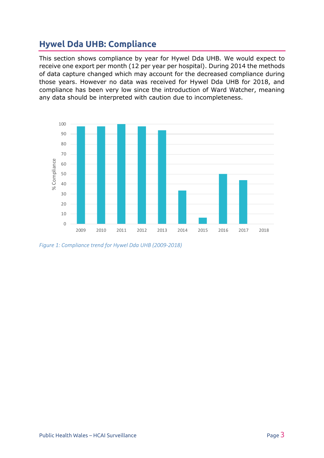### <span id="page-3-0"></span>**Hywel Dda UHB: Compliance**

This section shows compliance by year for Hywel Dda UHB. We would expect to receive one export per month (12 per year per hospital). During 2014 the methods of data capture changed which may account for the decreased compliance during those years. However no data was received for Hywel Dda UHB for 2018, and compliance has been very low since the introduction of Ward Watcher, meaning any data should be interpreted with caution due to incompleteness.



*Figure 1: Compliance trend for Hywel Dda UHB (2009-2018)*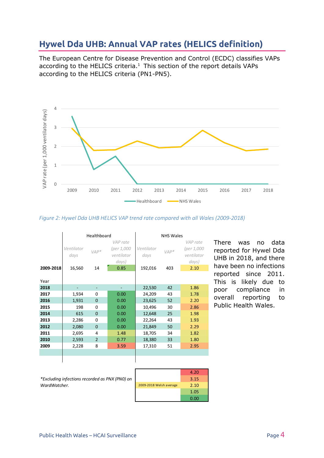#### <span id="page-4-0"></span>**Hywel Dda UHB: Annual VAP rates (HELICS definition)**

The European Centre for Disease Prevention and Control (ECDC) classifies VAPs according to the HELICS criteria. $1$  This section of the report details VAPs according to the HELICS criteria (PN1-PN5).



#### *Figure 2: Hywel Dda UHB HELICS VAP trend rate compared with all Wales (2009-2018)*

|           | Healthboard                  |                |                                                       | <b>NHS Wales</b>              |               |                                                       |
|-----------|------------------------------|----------------|-------------------------------------------------------|-------------------------------|---------------|-------------------------------------------------------|
| 2009-2018 | Ventilator<br>days<br>16,560 | $VAP*$<br>14   | VAP rate<br>(per 1,000<br>ventilator<br>days)<br>0.85 | Ventilator<br>days<br>192,016 | $VAP*$<br>403 | VAP rate<br>(per 1,000<br>ventilator<br>days)<br>2.10 |
| Year      |                              |                |                                                       |                               |               |                                                       |
| 2018      | ٠                            | ٠              |                                                       | 22,530                        | 42            | 1.86                                                  |
| 2017      | 1,934                        | 0              | 0.00                                                  | 24,209                        | 43            | 1.78                                                  |
| 2016      | 1,931                        | $\overline{0}$ | 0.00                                                  | 23,625                        | 52            | 2.20                                                  |
| 2015      | 198                          | $\Omega$       | 0.00                                                  | 10,496                        | 30            | 2.86                                                  |
| 2014      | 615                          | $\Omega$       | 0.00                                                  | 12,648                        | 25            | 1.98                                                  |
| 2013      | 2,286                        | $\Omega$       | 0.00                                                  | 22,264                        | 43            | 1.93                                                  |
| 2012      | 2,080                        | $\mathbf{0}$   | 0.00                                                  | 21,849                        | 50            | 2.29                                                  |
| 2011      | 2,695                        | 4              | 1.48                                                  | 18,705                        | 34            | 1.82                                                  |
| 2010      | 2,593                        | $\overline{2}$ | 0.77                                                  | 18,380                        | 33            | 1.80                                                  |
| 2009      | 2,228                        | 8              | 3.59                                                  | 17,310                        | 51            | 2.95                                                  |
|           |                              |                |                                                       |                               |               |                                                       |
|           |                              |                |                                                       |                               |               |                                                       |

There was no data reported for Hywel Dda UHB in 2018, and there have been no infections reported since 2011. This is likely due to poor compliance in overall reporting to Public Health Wales.

*\*Excluding infections recorded as PNX (PN0) on WardWatcher.*

|                         | 4.20 |
|-------------------------|------|
|                         | 3.15 |
| 2009-2018 Welsh average | 2.10 |
|                         | 1.05 |
|                         | 0.00 |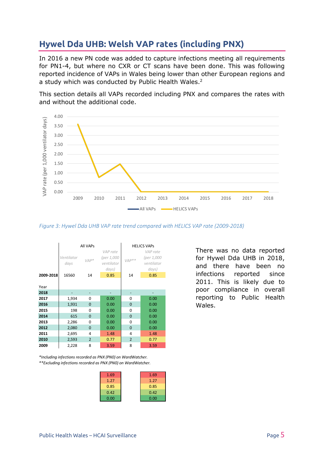### <span id="page-5-0"></span>**Hywel Dda UHB: Welsh VAP rates (including PNX)**

In 2016 a new PN code was added to capture infections meeting all requirements for PN1-4, but where no CXR or CT scans have been done. This was following reported incidence of VAPs in Wales being lower than other European regions and a study which was conducted by Public Health Wales.<sup>2</sup>

This section details all VAPs recorded including PNX and compares the rates with and without the additional code.



*Figure 3: Hywel Dda UHB VAP rate trend compared with HELICS VAP rate (2009-2018)*

|           | All VAPs<br>VAP rate |                |                          | <b>HELICS VAPS</b><br>VAP rate |                          |  |
|-----------|----------------------|----------------|--------------------------|--------------------------------|--------------------------|--|
|           | Ventilator<br>days   | $VAP*$         | (per 1,000<br>ventilator | $VAP**$                        | (per 1,000<br>ventilator |  |
| 2009-2018 | 16560                | 14             | days)<br>0.85            | 14                             | days)<br>0.85            |  |
|           |                      |                |                          |                                |                          |  |
| Year      |                      |                |                          |                                |                          |  |
| 2018      |                      |                |                          |                                |                          |  |
| 2017      | 1,934                | 0              | 0.00                     | 0                              | 0.00                     |  |
| 2016      | 1,931                | $\Omega$       | 0.00                     | 0                              | 0.00                     |  |
| 2015      | 198                  | 0              | 0.00                     | 0                              | 0.00                     |  |
| 2014      | 615                  | 0              | 0.00                     | 0                              | 0.00                     |  |
| 2013      | 2,286                | 0              | 0.00                     | 0                              | 0.00                     |  |
| 2012      | 2,080                | $\Omega$       | 0.00                     | 0                              | 0.00                     |  |
| 2011      | 2,695                | 4              | 1.48                     | 4                              | 1.48                     |  |
| 2010      | 2,593                | $\overline{2}$ | 0.77                     | $\overline{2}$                 | 0.77                     |  |
| 2009      | 2,228                | 8              | 3.59                     | 8                              | 3.59                     |  |

There was no data reported for Hywel Dda UHB in 2018, and there have been no infections reported since 2011. This is likely due to poor compliance in overall reporting to Public Health Wales.

*\*\*Excluding infections recorded as PNX (PN0) on WardWatcher. \*Including infections recorded as PNX (PN0) on WardWatcher.*

| 1.69 | 1.69 |
|------|------|
| 1.27 | 1.27 |
| 0.85 | 0.85 |
| 0.42 | 0.42 |
| 0.00 | 0.00 |
|      |      |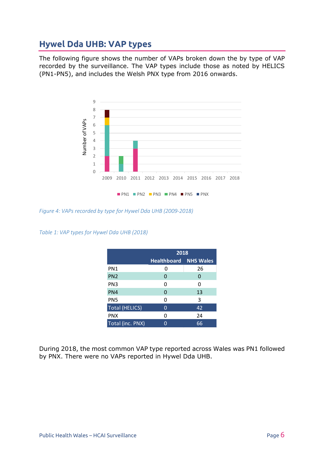### <span id="page-6-0"></span>**Hywel Dda UHB: VAP types**

The following figure shows the number of VAPs broken down the by type of VAP recorded by the surveillance. The VAP types include those as noted by HELICS (PN1-PN5), and includes the Welsh PNX type from 2016 onwards.



*Figure 4: VAPs recorded by type for Hywel Dda UHB (2009-2018)*

*Table 1: VAP types for Hywel Dda UHB (2018)*

|                       | 2018                         |    |  |
|-----------------------|------------------------------|----|--|
|                       | <b>Healthboard NHS Wales</b> |    |  |
| PN1                   | 0                            | 26 |  |
| PN <sub>2</sub>       | 0                            | 0  |  |
| PN <sub>3</sub>       | 0                            | O  |  |
| PN4                   | 0                            | 13 |  |
| PN <sub>5</sub>       | 0                            | 3  |  |
| <b>Total (HELICS)</b> | 0                            | 42 |  |
| <b>PNX</b>            | 0                            | 24 |  |
| Total (inc. PNX)      |                              | 66 |  |

During 2018, the most common VAP type reported across Wales was PN1 followed by PNX. There were no VAPs reported in Hywel Dda UHB.